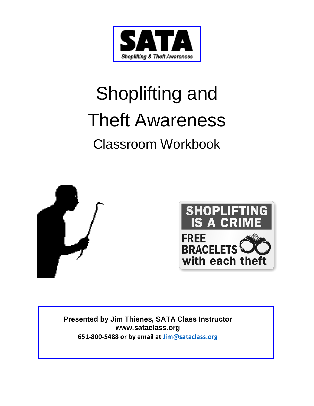

# Shoplifting and Theft Awareness Classroom Workbook





**Presented by Jim Thienes, SATA Class Instructor [www.sataclass.org](http://www.sataclass.org/) 651-800-5488 or by email at [Jim@sataclass.org](mailto:Jim@sataclass.org)**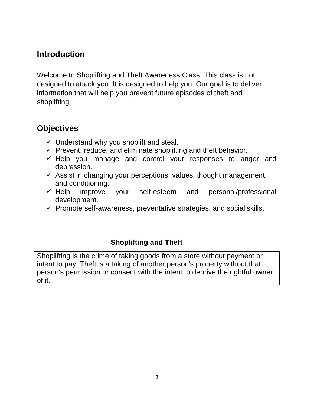#### **Introduction**

Welcome to Shoplifting and Theft Awareness Class. This class is not designed to attack you. It is designed to help you. Our goal is to deliver information that will help you prevent future episodes of theft and shoplifting.

#### **Objectives**

- $\checkmark$  Understand why you shoplift and steal.
- $\checkmark$  Prevent, reduce, and eliminate shoplifting and theft behavior.
- $\checkmark$  Help you manage and control your responses to anger and depression.
- $\checkmark$  Assist in changing your perceptions, values, thought management, and conditioning.
- $\checkmark$  Help improve your self-esteem and personal/professional development.
- $\checkmark$  Promote self-awareness, preventative strategies, and social skills.

#### **Shoplifting and Theft**

Shoplifting is the crime of taking goods from a store without payment or intent to pay. Theft is a taking of another person's property without that person's permission or consent with the intent to deprive the rightful owner of it.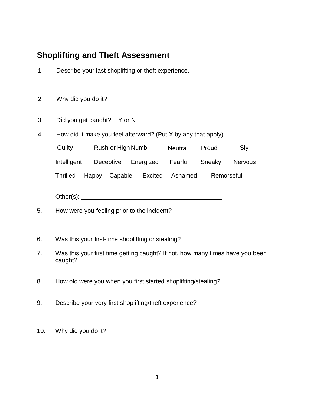#### **Shoplifting and Theft Assessment**

- 1. Describe your last shoplifting or theft experience.
- 2. Why did you do it?
- 3. Did you get caught? Y or N
- 4. How did it make you feel afterward? (Put X by any that apply)

Guilty Rush or High Numb Neutral Proud Sly Intelligent Deceptive Energized Fearful Sneaky Nervous Thrilled Happy Capable Excited Ashamed Remorseful

Other(s): example and the set of the set of the set of the set of the set of the set of the set of the set of the set of the set of the set of the set of the set of the set of the set of the set of the set of the set of th

- 5. How were you feeling prior to the incident?
- 6. Was this your first-time shoplifting or stealing?
- 7. Was this your first time getting caught? If not, how many times have you been caught?
- 8. How old were you when you first started shoplifting/stealing?
- 9. Describe your very first shoplifting/theft experience?
- 10. Why did you do it?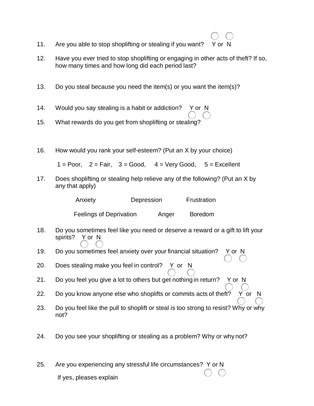- 11. Are you able to stop shoplifting or stealing if you want? Y or N
- 12. Have you ever tried to stop shoplifting or engaging in other acts of theft? If so, how many times and how long did each period last?
- 13. Do you steal because you need the item(s) or you want the item(s)?
- 14. Would you say stealing is a habit or addiction? Y or N
- 15. What rewards do you get from shoplifting or stealing?
- 16. How would you rank your self-esteem? (Put an X by your choice)

 $1 = P$ oor,  $2 = F$ air,  $3 = Good$ ,  $4 = Very Good$ ,  $5 = Excel$ lent

17. Does shoplifting or stealing help relieve any of the following? (Put an X by any that apply)

| Anxiety                 | Depression |       | Frustration    |  |  |
|-------------------------|------------|-------|----------------|--|--|
| Feelings of Deprivation |            | Anger | <b>Boredom</b> |  |  |

- 18. Do you sometimes feel like you need or deserve a reward or a gift to lift your spirits? Y or N
- 19. Do you sometimes feel anxiety over your financial situation? Y or N
- 20. Does stealing make you feel in control? Y or N
- 21. Do you feel you give a lot to others but get nothing in return? Y or N
- 22. Do you know anyone else who shoplifts or commits acts of theft? Y or N
- 23. Do you feel like the pull to shoplift or steal is too strong to resist? Why or why not?
- 24. Do you see your shoplifting or stealing as a problem? Why or why not?
- 25. Are you experiencing any stressful life circumstances? Y or N If yes, pleases explain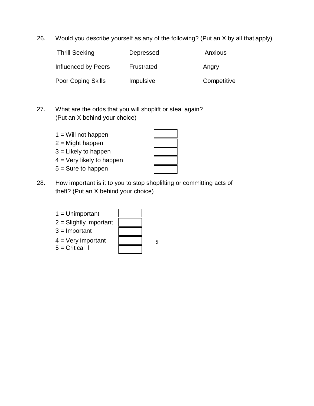26. Would you describe yourself as any of the following? (Put an X by all that apply)

| <b>Thrill Seeking</b> | Depressed  | Anxious     |
|-----------------------|------------|-------------|
| Influenced by Peers   | Frustrated | Angry       |
| Poor Coping Skills    | Impulsive  | Competitive |

- 27. What are the odds that you will shoplift or steal again? (Put an X behind your choice)
	- $1 =$  Will not happen
	- $2 =$  Might happen
	- 3 = Likely to happen
	- 4 = Very likely to happen
	- 5 = Sure to happen

28. How important is it to you to stop shoplifting or committing acts of theft? (Put an X behind your choice)

| $1 =$ Unimportant        |   |
|--------------------------|---|
| $2 =$ Slightly important |   |
| $3 =$ Important          |   |
| $4 =$ Very important     | 5 |
| $5 =$ Critical I         |   |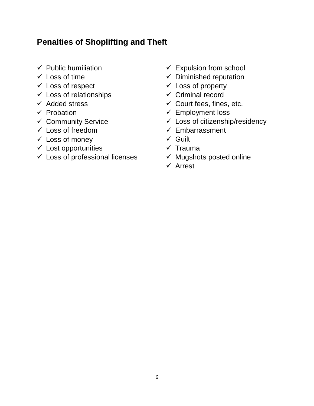#### **Penalties of Shoplifting and Theft**

- $\checkmark$  Public humiliation
- $\checkmark$  Loss of time
- $\checkmark$  Loss of respect
- $\checkmark$  Loss of relationships
- $\checkmark$  Added stress
- $\checkmark$  Probation
- $\checkmark$  Community Service
- $\checkmark$  Loss of freedom
- $\checkmark$  Loss of money
- $\checkmark$  Lost opportunities
- $\checkmark$  Loss of professional licenses
- $\checkmark$  Expulsion from school
- $\checkmark$  Diminished reputation
- $\checkmark$  Loss of property
- $\checkmark$  Criminal record
- $\checkmark$  Court fees, fines, etc.
- $\checkmark$  Employment loss
- $\checkmark$  Loss of citizenship/residency
- $\checkmark$  Embarrassment
- $\checkmark$  Guilt
- $\checkmark$  Trauma
- $\checkmark$  Mugshots posted online
- $\checkmark$  Arrest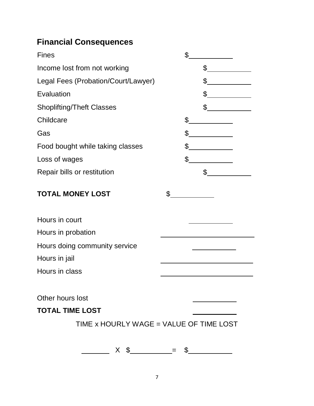# **Financial Consequences**

| <b>Fines</b>                            | \$                                                                                                                                                                                                                                                                                                                                                                                                                   |  |
|-----------------------------------------|----------------------------------------------------------------------------------------------------------------------------------------------------------------------------------------------------------------------------------------------------------------------------------------------------------------------------------------------------------------------------------------------------------------------|--|
| Income lost from not working            | $\frac{1}{\sqrt{2}}$                                                                                                                                                                                                                                                                                                                                                                                                 |  |
| Legal Fees (Probation/Court/Lawyer)     | \$                                                                                                                                                                                                                                                                                                                                                                                                                   |  |
| Evaluation                              | \$                                                                                                                                                                                                                                                                                                                                                                                                                   |  |
| <b>Shoplifting/Theft Classes</b>        | $\mathbb S$                                                                                                                                                                                                                                                                                                                                                                                                          |  |
| Childcare                               | \$                                                                                                                                                                                                                                                                                                                                                                                                                   |  |
| Gas                                     | \$                                                                                                                                                                                                                                                                                                                                                                                                                   |  |
| Food bought while taking classes        | \$                                                                                                                                                                                                                                                                                                                                                                                                                   |  |
| Loss of wages                           | $\frac{1}{\sqrt{1-\frac{1}{2}}\sqrt{1-\frac{1}{2}}\sqrt{1-\frac{1}{2}}\sqrt{1-\frac{1}{2}}\sqrt{1-\frac{1}{2}}\sqrt{1-\frac{1}{2}}\sqrt{1-\frac{1}{2}}\sqrt{1-\frac{1}{2}}\sqrt{1-\frac{1}{2}}\sqrt{1-\frac{1}{2}}\sqrt{1-\frac{1}{2}}\sqrt{1-\frac{1}{2}}\sqrt{1-\frac{1}{2}}\sqrt{1-\frac{1}{2}}\sqrt{1-\frac{1}{2}}\sqrt{1-\frac{1}{2}}\sqrt{1-\frac{1}{2}}\sqrt{1-\frac{1}{2}}\sqrt{1-\frac{1}{2}}\sqrt{1-\frac$ |  |
| Repair bills or restitution             | $\frac{1}{\sqrt{2}}$                                                                                                                                                                                                                                                                                                                                                                                                 |  |
| <b>TOTAL MONEY LOST</b>                 | \$                                                                                                                                                                                                                                                                                                                                                                                                                   |  |
| Hours in court                          |                                                                                                                                                                                                                                                                                                                                                                                                                      |  |
| Hours in probation                      |                                                                                                                                                                                                                                                                                                                                                                                                                      |  |
| Hours doing community service           |                                                                                                                                                                                                                                                                                                                                                                                                                      |  |
| Hours in jail                           |                                                                                                                                                                                                                                                                                                                                                                                                                      |  |
| Hours in class                          |                                                                                                                                                                                                                                                                                                                                                                                                                      |  |
|                                         |                                                                                                                                                                                                                                                                                                                                                                                                                      |  |
| Other hours lost                        |                                                                                                                                                                                                                                                                                                                                                                                                                      |  |
| <b>TOTAL TIME LOST</b>                  |                                                                                                                                                                                                                                                                                                                                                                                                                      |  |
| TIME x HOURLY WAGE = VALUE OF TIME LOST |                                                                                                                                                                                                                                                                                                                                                                                                                      |  |
| $X$ \$                                  | \$                                                                                                                                                                                                                                                                                                                                                                                                                   |  |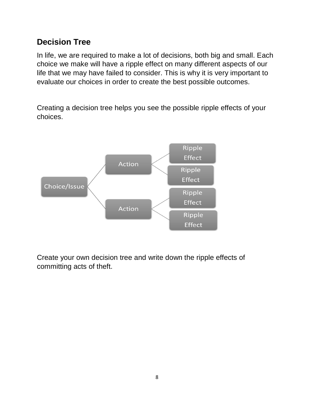## **Decision Tree**

In life, we are required to make a lot of decisions, both big and small. Each choice we make will have a ripple effect on many different aspects of our life that we may have failed to consider. This is why it is very important to evaluate our choices in order to create the best possible outcomes.

Creating a decision tree helps you see the possible ripple effects of your choices.



Create your own decision tree and write down the ripple effects of committing acts of theft.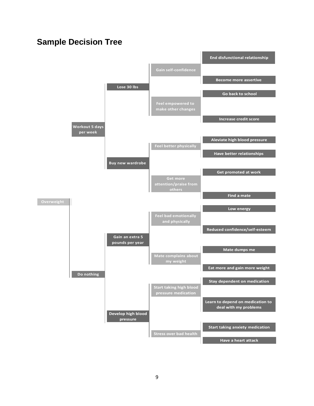#### **Sample Decision Tree**

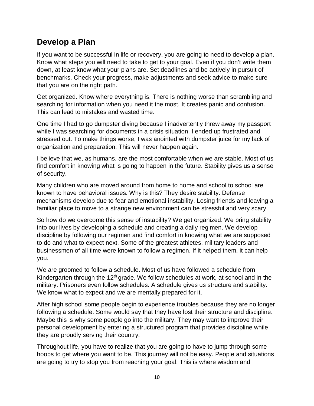#### **Develop a Plan**

If you want to be successful in life or recovery, you are going to need to develop a plan. Know what steps you will need to take to get to your goal. Even if you don't write them down, at least know what your plans are. Set deadlines and be actively in pursuit of benchmarks. Check your progress, make adjustments and seek advice to make sure that you are on the right path.

Get organized. Know where everything is. There is nothing worse than scrambling and searching for information when you need it the most. It creates panic and confusion. This can lead to mistakes and wasted time.

One time I had to go dumpster diving because I inadvertently threw away my passport while I was searching for documents in a crisis situation. I ended up frustrated and stressed out. To make things worse, I was anointed with dumpster juice for my lack of organization and preparation. This will never happen again.

I believe that we, as humans, are the most comfortable when we are stable. Most of us find comfort in knowing what is going to happen in the future. Stability gives us a sense of security.

Many children who are moved around from home to home and school to school are known to have behavioral issues. Why is this? They desire stability. Defense mechanisms develop due to fear and emotional instability. Losing friends and leaving a familiar place to move to a strange new environment can be stressful and very scary.

So how do we overcome this sense of instability? We get organized. We bring stability into our lives by developing a schedule and creating a daily regimen. We develop discipline by following our regimen and find comfort in knowing what we are supposed to do and what to expect next. Some of the greatest athletes, military leaders and businessmen of all time were known to follow a regimen. If it helped them, it can help you.

We are groomed to follow a schedule. Most of us have followed a schedule from Kindergarten through the  $12<sup>th</sup>$  grade. We follow schedules at work, at school and in the military. Prisoners even follow schedules. A schedule gives us structure and stability. We know what to expect and we are mentally prepared for it.

After high school some people begin to experience troubles because they are no longer following a schedule. Some would say that they have lost their structure and discipline. Maybe this is why some people go into the military. They may want to improve their personal development by entering a structured program that provides discipline while they are proudly serving their country.

Throughout life, you have to realize that you are going to have to jump through some hoops to get where you want to be. This journey will not be easy. People and situations are going to try to stop you from reaching your goal. This is where wisdom and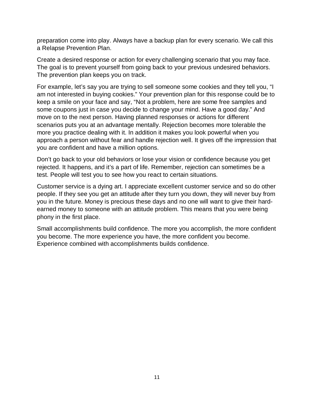preparation come into play. Always have a backup plan for every scenario. We call this a Relapse Prevention Plan.

Create a desired response or action for every challenging scenario that you may face. The goal is to prevent yourself from going back to your previous undesired behaviors. The prevention plan keeps you on track.

For example, let's say you are trying to sell someone some cookies and they tell you, "I am not interested in buying cookies." Your prevention plan for this response could be to keep a smile on your face and say, "Not a problem, here are some free samples and some coupons just in case you decide to change your mind. Have a good day." And move on to the next person. Having planned responses or actions for different scenarios puts you at an advantage mentally. Rejection becomes more tolerable the more you practice dealing with it. In addition it makes you look powerful when you approach a person without fear and handle rejection well. It gives off the impression that you are confident and have a million options.

Don't go back to your old behaviors or lose your vision or confidence because you get rejected. It happens, and it's a part of life. Remember, rejection can sometimes be a test. People will test you to see how you react to certain situations.

Customer service is a dying art. I appreciate excellent customer service and so do other people. If they see you get an attitude after they turn you down, they will never buy from you in the future. Money is precious these days and no one will want to give their hardearned money to someone with an attitude problem. This means that you were being phony in the first place.

Small accomplishments build confidence. The more you accomplish, the more confident you become. The more experience you have, the more confident you become. Experience combined with accomplishments builds confidence.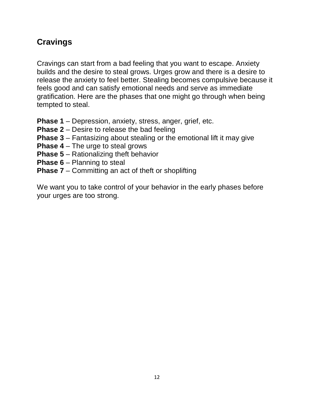## **Cravings**

Cravings can start from a bad feeling that you want to escape. Anxiety builds and the desire to steal grows. Urges grow and there is a desire to release the anxiety to feel better. Stealing becomes compulsive because it feels good and can satisfy emotional needs and serve as immediate gratification. Here are the phases that one might go through when being tempted to steal.

- **Phase 1** Depression, anxiety, stress, anger, grief, etc.
- **Phase 2**  Desire to release the bad feeling
- **Phase 3** Fantasizing about stealing or the emotional lift it may give
- **Phase 4** The urge to steal grows
- **Phase 5**  Rationalizing theft behavior
- **Phase 6 Planning to steal**
- **Phase 7**  Committing an act of theft or shoplifting

We want you to take control of your behavior in the early phases before your urges are too strong.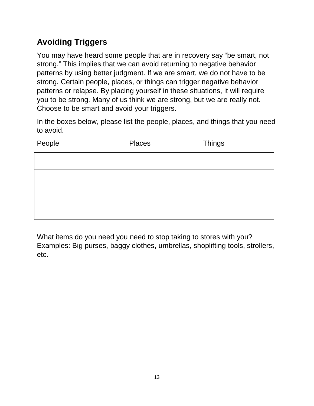# **Avoiding Triggers**

You may have heard some people that are in recovery say "be smart, not strong." This implies that we can avoid returning to negative behavior patterns by using better judgment. If we are smart, we do not have to be strong. Certain people, places, or things can trigger negative behavior patterns or relapse. By placing yourself in these situations, it will require you to be strong. Many of us think we are strong, but we are really not. Choose to be smart and avoid your triggers.

In the boxes below, please list the people, places, and things that you need to avoid.

| People | Places | <b>Things</b> |
|--------|--------|---------------|
|        |        |               |
|        |        |               |
|        |        |               |
|        |        |               |

What items do you need you need to stop taking to stores with you? Examples: Big purses, baggy clothes, umbrellas, shoplifting tools, strollers, etc.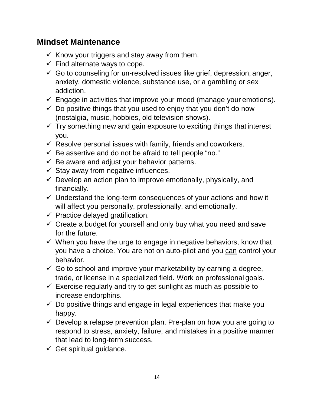#### **Mindset Maintenance**

- $\checkmark$  Know your triggers and stay away from them.
- $\checkmark$  Find alternate ways to cope.
- $\checkmark$  Go to counseling for un-resolved issues like grief, depression, anger, anxiety, domestic violence, substance use, or a gambling or sex addiction.
- $\checkmark$  Engage in activities that improve your mood (manage your emotions).
- $\checkmark$  Do positive things that you used to enjoy that you don't do now (nostalgia, music, hobbies, old television shows).
- $\checkmark$  Try something new and gain exposure to exciting things that interest you.
- $\checkmark$  Resolve personal issues with family, friends and coworkers.
- $\checkmark$  Be assertive and do not be afraid to tell people "no."
- $\checkmark$  Be aware and adjust your behavior patterns.
- $\checkmark$  Stay away from negative influences.
- $\checkmark$  Develop an action plan to improve emotionally, physically, and financially.
- $\checkmark$  Understand the long-term consequences of your actions and how it will affect you personally, professionally, and emotionally.
- $\checkmark$  Practice delayed gratification.
- $\checkmark$  Create a budget for yourself and only buy what you need and save for the future.
- $\checkmark$  When you have the urge to engage in negative behaviors, know that you have a choice. You are not on auto-pilot and you can control your behavior.
- $\checkmark$  Go to school and improve your marketability by earning a degree, trade, or license in a specialized field. Work on professional goals.
- $\checkmark$  Exercise regularly and try to get sunlight as much as possible to increase endorphins.
- $\checkmark$  Do positive things and engage in legal experiences that make you happy.
- $\checkmark$  Develop a relapse prevention plan. Pre-plan on how you are going to respond to stress, anxiety, failure, and mistakes in a positive manner that lead to long-term success.
- $\checkmark$  Get spiritual guidance.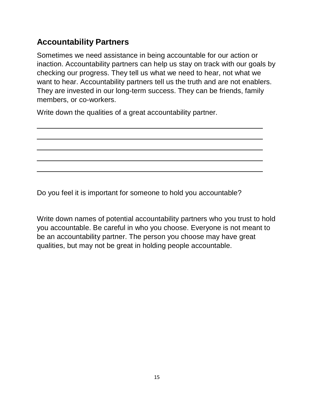### **Accountability Partners**

Sometimes we need assistance in being accountable for our action or inaction. Accountability partners can help us stay on track with our goals by checking our progress. They tell us what we need to hear, not what we want to hear. Accountability partners tell us the truth and are not enablers. They are invested in our long-term success. They can be friends, family members, or co-workers.

Write down the qualities of a great accountability partner.

Do you feel it is important for someone to hold you accountable?

Write down names of potential accountability partners who you trust to hold you accountable. Be careful in who you choose. Everyone is not meant to be an accountability partner. The person you choose may have great qualities, but may not be great in holding people accountable.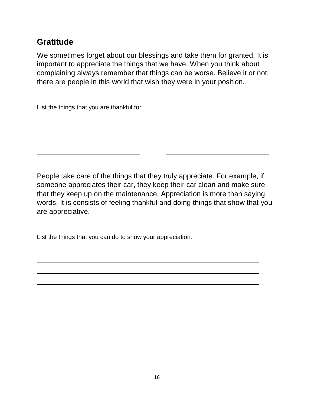### **Gratitude**

We sometimes forget about our blessings and take them for granted. It is important to appreciate the things that we have. When you think about complaining always remember that things can be worse. Believe it or not, there are people in this world that wish they were in your position.

List the things that you are thankful for.

People take care of the things that they truly appreciate. For example, if someone appreciates their car, they keep their car clean and make sure that they keep up on the maintenance. Appreciation is more than saying words. It is consists of feeling thankful and doing things that show that you are appreciative.

List the things that you can do to show your appreciation.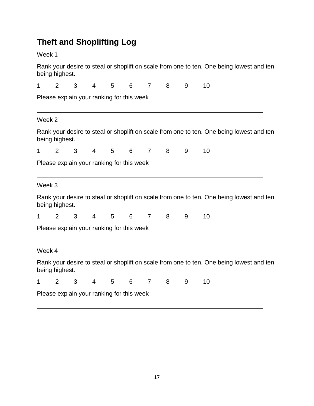# **Theft and Shoplifting Log**

Week 1

Rank your desire to steal or shoplift on scale from one to ten. One being lowest and ten being highest.

| 1      | $\overline{2}$                            | 3 | $\overline{4}$  | 5                                         | 6 | $\overline{7}$ | 8 | 9 | 10                                                                                       |  |  |
|--------|-------------------------------------------|---|-----------------|-------------------------------------------|---|----------------|---|---|------------------------------------------------------------------------------------------|--|--|
|        |                                           |   |                 | Please explain your ranking for this week |   |                |   |   |                                                                                          |  |  |
| Week 2 |                                           |   |                 |                                           |   |                |   |   |                                                                                          |  |  |
|        | being highest.                            |   |                 |                                           |   |                |   |   | Rank your desire to steal or shoplift on scale from one to ten. One being lowest and ten |  |  |
| 1      | 2                                         | 3 | $4\overline{ }$ | $5\overline{)}$                           | 6 | $\overline{7}$ | 8 | 9 | 10                                                                                       |  |  |
|        |                                           |   |                 | Please explain your ranking for this week |   |                |   |   |                                                                                          |  |  |
| Week 3 |                                           |   |                 |                                           |   |                |   |   |                                                                                          |  |  |
|        | being highest.                            |   |                 |                                           |   |                |   |   | Rank your desire to steal or shoplift on scale from one to ten. One being lowest and ten |  |  |
| 1      | $\overline{2}$                            | 3 | $4\overline{ }$ | $5\overline{)}$                           | 6 | $\overline{7}$ | 8 | 9 | 10                                                                                       |  |  |
|        |                                           |   |                 | Please explain your ranking for this week |   |                |   |   |                                                                                          |  |  |
| Week 4 |                                           |   |                 |                                           |   |                |   |   |                                                                                          |  |  |
|        | being highest.                            |   |                 |                                           |   |                |   |   | Rank your desire to steal or shoplift on scale from one to ten. One being lowest and ten |  |  |
| 1      | 2                                         | 3 | $4 \quad$       | $5\overline{)}$                           | 6 | $\overline{7}$ | 8 | 9 | 10                                                                                       |  |  |
|        | Please explain your ranking for this week |   |                 |                                           |   |                |   |   |                                                                                          |  |  |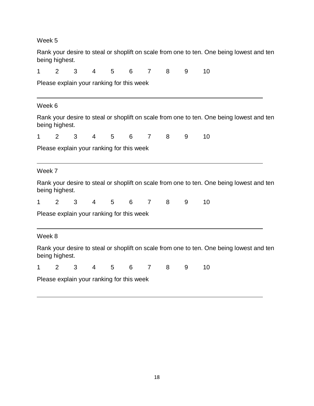Week 5

| Rank your desire to steal or shoplift on scale from one to ten. One being lowest and ten<br>being highest. |                                                                                                            |                                           |                |   |   |                |   |   |                                                                                          |  |
|------------------------------------------------------------------------------------------------------------|------------------------------------------------------------------------------------------------------------|-------------------------------------------|----------------|---|---|----------------|---|---|------------------------------------------------------------------------------------------|--|
| 1                                                                                                          | 2                                                                                                          | 3                                         | $\overline{4}$ | 5 | 6 | $\overline{7}$ | 8 | 9 | 10                                                                                       |  |
| Please explain your ranking for this week                                                                  |                                                                                                            |                                           |                |   |   |                |   |   |                                                                                          |  |
| Week 6                                                                                                     |                                                                                                            |                                           |                |   |   |                |   |   |                                                                                          |  |
|                                                                                                            | being highest.                                                                                             |                                           |                |   |   |                |   |   | Rank your desire to steal or shoplift on scale from one to ten. One being lowest and ten |  |
| 1                                                                                                          | 2                                                                                                          | 3                                         | 4              | 5 | 6 | $\overline{7}$ | 8 | 9 | 10                                                                                       |  |
|                                                                                                            |                                                                                                            | Please explain your ranking for this week |                |   |   |                |   |   |                                                                                          |  |
| Week 7                                                                                                     |                                                                                                            |                                           |                |   |   |                |   |   |                                                                                          |  |
|                                                                                                            | being highest.                                                                                             |                                           |                |   |   |                |   |   | Rank your desire to steal or shoplift on scale from one to ten. One being lowest and ten |  |
| 1                                                                                                          | 2                                                                                                          | 3                                         | $\overline{4}$ | 5 | 6 | $\overline{7}$ | 8 | 9 | 10                                                                                       |  |
| Please explain your ranking for this week                                                                  |                                                                                                            |                                           |                |   |   |                |   |   |                                                                                          |  |
| Week 8                                                                                                     |                                                                                                            |                                           |                |   |   |                |   |   |                                                                                          |  |
|                                                                                                            | Rank your desire to steal or shoplift on scale from one to ten. One being lowest and ten<br>being highest. |                                           |                |   |   |                |   |   |                                                                                          |  |
| 1                                                                                                          | 2                                                                                                          | 3                                         | $\overline{4}$ | 5 | 6 | $\overline{7}$ | 8 | 9 | 10                                                                                       |  |
|                                                                                                            | Please explain your ranking for this week                                                                  |                                           |                |   |   |                |   |   |                                                                                          |  |